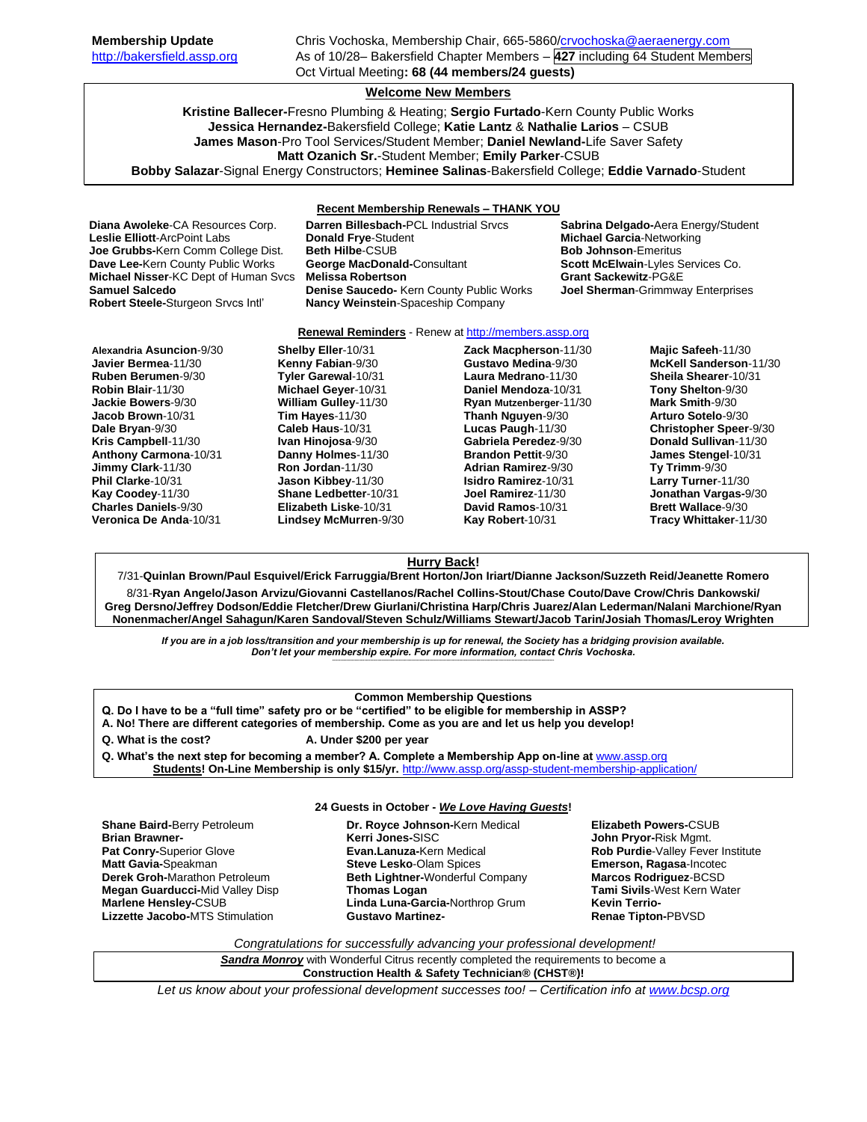# **Welcome New Members**

**Kristine Ballecer-**Fresno Plumbing & Heating; **Sergio Furtado**-Kern County Public Works **Jessica Hernandez-**Bakersfield College; **Katie Lantz** & **Nathalie Larios** – CSUB **James Mason**-Pro Tool Services/Student Member; **Daniel Newland-**Life Saver Safety **Matt Ozanich Sr.**-Student Member; **Emily Parker**-CSUB **Bobby Salazar**-Signal Energy Constructors; **Heminee Salinas**-Bakersfield College; **Eddie Varnado**-Student

**Recent Membership Renewals – THANK YOU**

**Diana Awoleke**-CA Resources Corp. **Darren Billesbach-**PCL Industrial Srvcs **Sabrina Delgado-**Aera Energy/Student **Robert Steele-**Sturgeon Srvcs Intl' **Nancy Weinstein**-Spaceship Company

**Leslie Elliott**-ArcPoint Labs **Donald Frye**-Student **Michael Garcia**-Networking **Joe Grubbs-**Kern Comm College Dist. **Beth Hilbe-**CSUB **Bob Johnson-Emeritus Bob Johnson-Emeritus**<br>**Dave Lee-Kern County Public Works George MacDonald-Consultant Scott McElwain-Lyles S Michael Nisser**-KC Dept of Human Svcs **Melissa Robertson Grant Sackewitz**-PG&E **Samuel Salcedo Denise Saucedo-** Kern County Public Works **Joel Sherman**-Grimmway Enterprises

### **Renewal Reminders** - Renew a[t http://members.assp.org](http://members.assp.org/)

**Alexandria Asuncion**-9/30 **Javier Bermea**-11/30 **Ruben Berumen**-9/30 **Robin Blair**-11/30 **Jackie Bowers**-9/30 **Jacob Brown**-10/31 **Dale Bryan**-9/30 **Kris Campbell**-11/30 **Anthony Carmona**-10/31 **Jimmy Clark**-11/30 **Phil Clarke**-10/31 **Kay Coodey**-11/30 **Charles Daniels**-9/30 **Veronica De Anda**-10/31

**Shelby Eller**-10/31 **Kenny Fabian**-9/30 **Tyler Garewal**-10/31 **Michael Geyer**-10/31 **William Gulley**-11/30 **Tim Hayes**-11/30 **Caleb Haus**-10/31 **Ivan Hinojosa**-9/30 **Danny Holmes**-11/30 **Ron Jordan**-11/30 **Jason Kibbey**-11/30 **Shane Ledbetter**-10/31 **Elizabeth Liske**-10/31 **Lindsey McMurren**-9/30 **Zack Macpherson**-11/30 **Gustavo Medina**-9/30 **Laura Medrano**-11/30 **Daniel Mendoza**-10/31 **Ryan Mutzenberger**-11/30 **Thanh Nguyen**-9/30 **Lucas Paugh**-11/30 **Gabriela Peredez**-9/30 **Brandon Pettit**-9/30 **Adrian Ramirez**-9/30 **Isidro Ramirez**-10/31 **Joel Ramirez**-11/30 **David Ramos**-10/31 **Kay Robert**-10/31

**Majic Safeeh**-11/30 **McKell Sanderson**-11/30 **Sheila Shearer**-10/31 **Tony Shelton**-9/30 **Mark Smith**-9/30 **Arturo Sotelo**-9/30 **Christopher Speer**-9/30 **Donald Sullivan**-11/30 **James Stengel**-10/31 **Ty Trimm**-9/30 **Larry Turner**-11/30 **Jonathan Vargas-**9/30 **Brett Wallace**-9/30 **Tracy Whittaker**-11/30

**Scott McElwain-Lyles Services Co.** 

## **Hurry Back!**

7/31-**Quinlan Brown/Paul Esquivel/Erick Farruggia/Brent Horton/Jon Iriart/Dianne Jackson/Suzzeth Reid/Jeanette Romero** 8/31-**Ryan Angelo/Jason Arvizu/Giovanni Castellanos/Rachel Collins-Stout/Chase Couto/Dave Crow/Chris Dankowski/ Greg Dersno/Jeffrey Dodson/Eddie Fletcher/Drew Giurlani/Christina Harp/Chris Juarez/Alan Lederman/Nalani Marchione/Ryan Nonenmacher/Angel Sahagun/Karen Sandoval/Steven Schulz/Williams Stewart/Jacob Tarin/Josiah Thomas/Leroy Wrighten**

*If you are in a job loss/transition and your membership is up for renewal, the Society has a bridging provision available. Don't let your membership expire. For more information, contact Chris Vochoska.*  **-------------------------------------------------------------------------------------------------------------------------------------------------------------**

### **Common Membership Questions**

- **Q. Do I have to be a "full time" safety pro or be "certified" to be eligible for membership in ASSP?**
- **A. No! There are different categories of membership. Come as you are and let us help you develop!**
- **Q. What is the cost? A. Under \$200 per year**
- **Q. What's the next step for becoming a member? A. Complete a Membership App on-line at** [www.assp.org](http://www.assp.org/)

**Students! On-Line Membership is only \$15/yr.** <http://www.assp.org/assp-student-membership-application/>

#### **24 Guests in October -** *We Love Having Guests***!**

**Shane Baird-**Berry Petroleum **Brian Brawner-Pat Conry-**Superior Glove **Matt Gavia-**Speakman **Derek Groh-**Marathon Petroleum **Megan Guarducci-**Mid Valley Disp **Marlene Hensley-**CSUB **Lizzette Jacobo-**MTS Stimulation

**Dr. Royce Johnson-**Kern Medical **Kerri Jones-**SISC **Evan.Lanuza-**Kern Medical **Steve Lesko**-Olam Spices **Beth Lightner-**Wonderful Company **Thomas Logan Linda Luna-Garcia-**Northrop Grum **Gustavo Martinez-** **Elizabeth Powers-**CSUB **John Pryor-**Risk Mgmt. **Rob Purdie**-Valley Fever Institute **Emerson, Ragasa**-Incotec **Marcos Rodriguez**-BCSD **Tami Sivils**-West Kern Water **Kevin Terrio-Renae Tipton-**PBVSD

*Congratulations for successfully advancing your professional development!*

*Sandra Monroy* with Wonderful Citrus recently completed the requirements to become a **Construction Health & Safety Technician® (CHST®)!**

*Let us know about your professional development successes too! – Certification info a[t www.bcsp.org](http://www.bcsp.org/)*